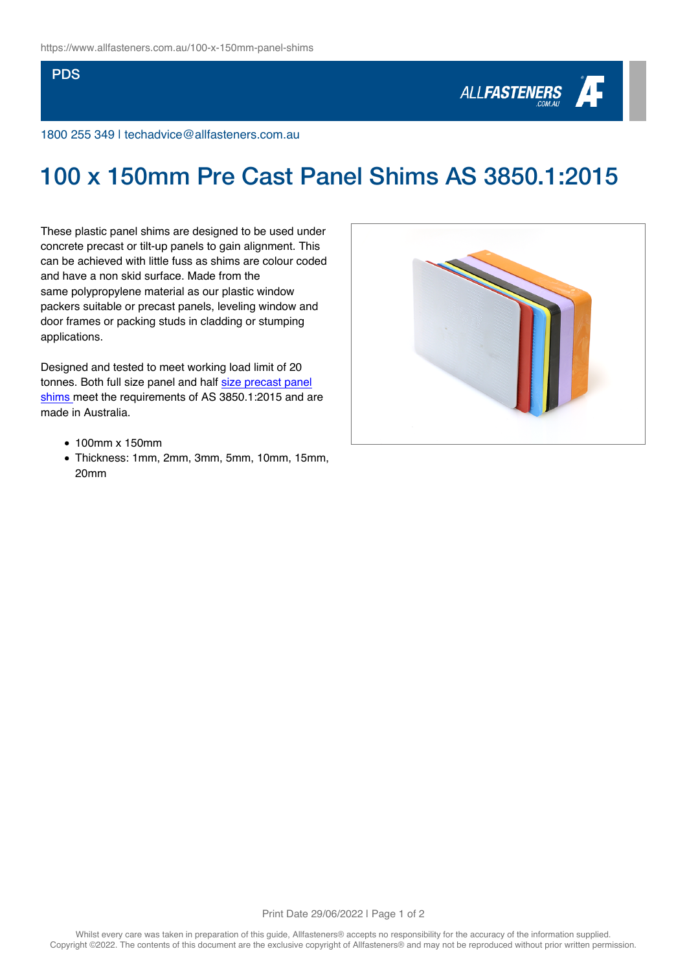## **PDS**



1800 255 349 | techadvice@allfasteners.com.au

## 100 x 150mm Pre Cast Panel Shims AS 3850.1:2015

These plastic panel shims are designed to be used under concrete precast or tilt-up panels to gain alignment. This can be achieved with little fuss as shims are colour coded and have a non skid surface. Made from the same polypropylene material as our plastic window packers suitable or precast panels, leveling window and door frames or packing studs in cladding or stumping applications.

Designed and tested to meet working load limit of 20 tonnes. Both full size panel and half [size precast panel](https://www.allfasteners.com.au/100-x-75mm-panel-shims) [shims](https://www.allfasteners.com.au/100-x-75mm-panel-shims) meet the requirements of AS 3850.1:2015 and are made in Australia.

- 100mm x 150mm
- Thickness: 1mm, 2mm, 3mm, 5mm, 10mm, 15mm, 20mm